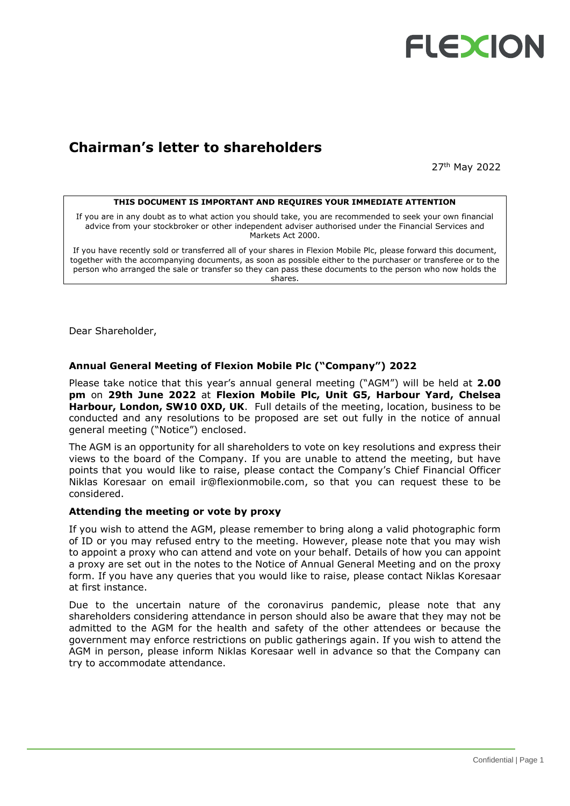

## **Chairman's letter to shareholders**

27th May 2022

#### **THIS DOCUMENT IS IMPORTANT AND REQUIRES YOUR IMMEDIATE ATTENTION**

If you are in any doubt as to what action you should take, you are recommended to seek your own financial advice from your stockbroker or other independent adviser authorised under the Financial Services and Markets Act 2000.

If you have recently sold or transferred all of your shares in Flexion Mobile Plc, please forward this document, together with the accompanying documents, as soon as possible either to the purchaser or transferee or to the person who arranged the sale or transfer so they can pass these documents to the person who now holds the shares.

Dear Shareholder,

### **Annual General Meeting of Flexion Mobile Plc ("Company") 2022**

Please take notice that this year's annual general meeting ("AGM") will be held at **2.00 pm** on **29th June 2022** at **Flexion Mobile Plc, Unit G5, Harbour Yard, Chelsea Harbour, London, SW10 0XD, UK**. Full details of the meeting, location, business to be conducted and any resolutions to be proposed are set out fully in the notice of annual general meeting ("Notice") enclosed.

The AGM is an opportunity for all shareholders to vote on key resolutions and express their views to the board of the Company. If you are unable to attend the meeting, but have points that you would like to raise, please contact the Company's Chief Financial Officer Niklas Koresaar on email [ir@flexionmobile.com,](mailto:ir@flexionmobile.com) so that you can request these to be considered.

#### **Attending the meeting or vote by proxy**

If you wish to attend the AGM, please remember to bring along a valid photographic form of ID or you may refused entry to the meeting. However, please note that you may wish to appoint a proxy who can attend and vote on your behalf. Details of how you can appoint a proxy are set out in the notes to the Notice of Annual General Meeting and on the proxy form. If you have any queries that you would like to raise, please contact Niklas Koresaar at first instance.

Due to the uncertain nature of the coronavirus pandemic, please note that any shareholders considering attendance in person should also be aware that they may not be admitted to the AGM for the health and safety of the other attendees or because the government may enforce restrictions on public gatherings again. If you wish to attend the AGM in person, please inform Niklas Koresaar well in advance so that the Company can try to accommodate attendance.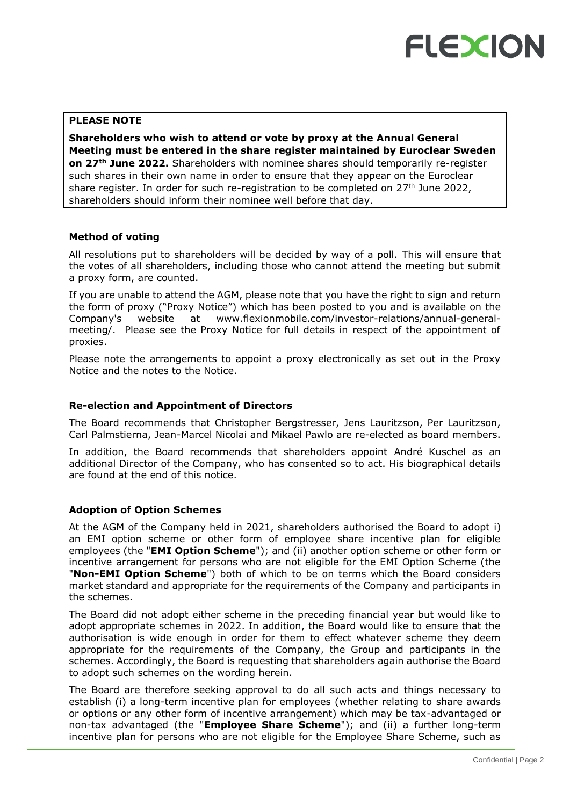## **PLEASE NOTE**

**Shareholders who wish to attend or vote by proxy at the Annual General Meeting must be entered in the share register maintained by Euroclear Sweden on 27th June 2022.** Shareholders with nominee shares should temporarily re-register such shares in their own name in order to ensure that they appear on the Euroclear share register. In order for such re-registration to be completed on  $27<sup>th</sup>$  June 2022, shareholders should inform their nominee well before that day.

## **Method of voting**

All resolutions put to shareholders will be decided by way of a poll. This will ensure that the votes of all shareholders, including those who cannot attend the meeting but submit a proxy form, are counted.

If you are unable to attend the AGM, please note that you have the right to sign and return the form of proxy ("Proxy Notice") which has been posted to you and is available on the Company's website at www.flexionmobile.com/investor-relations/annual-generalmeeting/. Please see the Proxy Notice for full details in respect of the appointment of proxies.

Please note the arrangements to appoint a proxy electronically as set out in the Proxy Notice and the notes to the Notice.

## **Re-election and Appointment of Directors**

The Board recommends that Christopher Bergstresser, Jens Lauritzson, Per Lauritzson, Carl Palmstierna, Jean-Marcel Nicolai and Mikael Pawlo are re-elected as board members.

In addition, the Board recommends that shareholders appoint André Kuschel as an additional Director of the Company, who has consented so to act. His biographical details are found at the end of this notice.

## **Adoption of Option Schemes**

At the AGM of the Company held in 2021, shareholders authorised the Board to adopt i) an EMI option scheme or other form of employee share incentive plan for eligible employees (the "**EMI Option Scheme**"); and (ii) another option scheme or other form or incentive arrangement for persons who are not eligible for the EMI Option Scheme (the "**Non-EMI Option Scheme**") both of which to be on terms which the Board considers market standard and appropriate for the requirements of the Company and participants in the schemes.

The Board did not adopt either scheme in the preceding financial year but would like to adopt appropriate schemes in 2022. In addition, the Board would like to ensure that the authorisation is wide enough in order for them to effect whatever scheme they deem appropriate for the requirements of the Company, the Group and participants in the schemes. Accordingly, the Board is requesting that shareholders again authorise the Board to adopt such schemes on the wording herein.

The Board are therefore seeking approval to do all such acts and things necessary to establish (i) a long-term incentive plan for employees (whether relating to share awards or options or any other form of incentive arrangement) which may be tax-advantaged or non-tax advantaged (the "**Employee Share Scheme**"); and (ii) a further long-term incentive plan for persons who are not eligible for the Employee Share Scheme, such as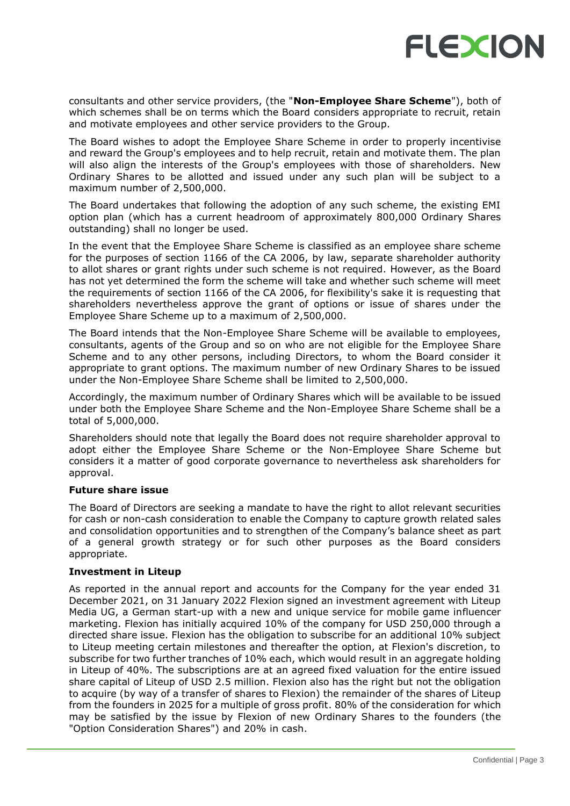

consultants and other service providers, (the "**Non-Employee Share Scheme**"), both of which schemes shall be on terms which the Board considers appropriate to recruit, retain and motivate employees and other service providers to the Group.

The Board wishes to adopt the Employee Share Scheme in order to properly incentivise and reward the Group's employees and to help recruit, retain and motivate them. The plan will also align the interests of the Group's employees with those of shareholders. New Ordinary Shares to be allotted and issued under any such plan will be subject to a maximum number of 2,500,000.

The Board undertakes that following the adoption of any such scheme, the existing EMI option plan (which has a current headroom of approximately 800,000 Ordinary Shares outstanding) shall no longer be used.

In the event that the Employee Share Scheme is classified as an employee share scheme for the purposes of section 1166 of the CA 2006, by law, separate shareholder authority to allot shares or grant rights under such scheme is not required. However, as the Board has not yet determined the form the scheme will take and whether such scheme will meet the requirements of section 1166 of the CA 2006, for flexibility's sake it is requesting that shareholders nevertheless approve the grant of options or issue of shares under the Employee Share Scheme up to a maximum of 2,500,000.

The Board intends that the Non-Employee Share Scheme will be available to employees, consultants, agents of the Group and so on who are not eligible for the Employee Share Scheme and to any other persons, including Directors, to whom the Board consider it appropriate to grant options. The maximum number of new Ordinary Shares to be issued under the Non-Employee Share Scheme shall be limited to 2,500,000.

Accordingly, the maximum number of Ordinary Shares which will be available to be issued under both the Employee Share Scheme and the Non-Employee Share Scheme shall be a total of 5,000,000.

Shareholders should note that legally the Board does not require shareholder approval to adopt either the Employee Share Scheme or the Non-Employee Share Scheme but considers it a matter of good corporate governance to nevertheless ask shareholders for approval.

## **Future share issue**

The Board of Directors are seeking a mandate to have the right to allot relevant securities for cash or non-cash consideration to enable the Company to capture growth related sales and consolidation opportunities and to strengthen of the Company's balance sheet as part of a general growth strategy or for such other purposes as the Board considers appropriate.

## **Investment in Liteup**

As reported in the annual report and accounts for the Company for the year ended 31 December 2021, on 31 January 2022 Flexion signed an investment agreement with Liteup Media UG, a German start-up with a new and unique service for mobile game influencer marketing. Flexion has initially acquired 10% of the company for USD 250,000 through a directed share issue. Flexion has the obligation to subscribe for an additional 10% subject to Liteup meeting certain milestones and thereafter the option, at Flexion's discretion, to subscribe for two further tranches of 10% each, which would result in an aggregate holding in Liteup of 40%. The subscriptions are at an agreed fixed valuation for the entire issued share capital of Liteup of USD 2.5 million. Flexion also has the right but not the obligation to acquire (by way of a transfer of shares to Flexion) the remainder of the shares of Liteup from the founders in 2025 for a multiple of gross profit. 80% of the consideration for which may be satisfied by the issue by Flexion of new Ordinary Shares to the founders (the "Option Consideration Shares") and 20% in cash.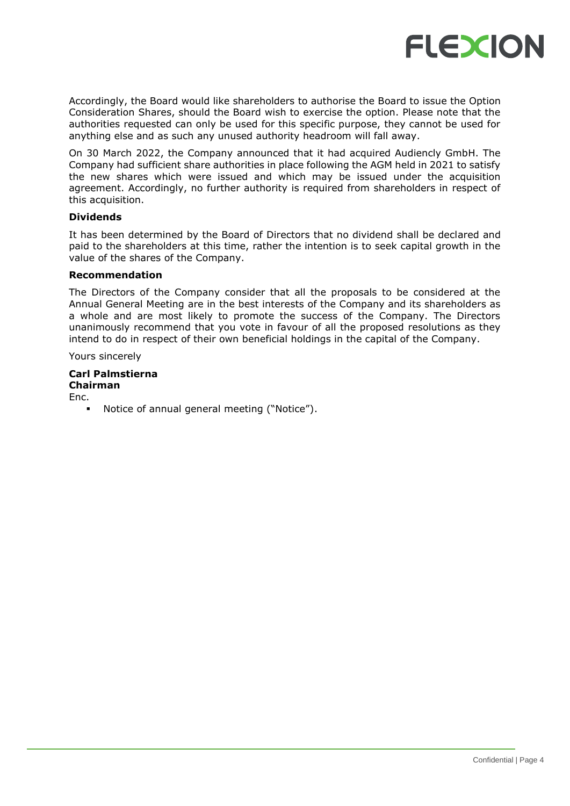

Accordingly, the Board would like shareholders to authorise the Board to issue the Option Consideration Shares, should the Board wish to exercise the option. Please note that the authorities requested can only be used for this specific purpose, they cannot be used for anything else and as such any unused authority headroom will fall away.

On 30 March 2022, the Company announced that it had acquired Audiencly GmbH. The Company had sufficient share authorities in place following the AGM held in 2021 to satisfy the new shares which were issued and which may be issued under the acquisition agreement. Accordingly, no further authority is required from shareholders in respect of this acquisition.

## **Dividends**

It has been determined by the Board of Directors that no dividend shall be declared and paid to the shareholders at this time, rather the intention is to seek capital growth in the value of the shares of the Company.

### **Recommendation**

The Directors of the Company consider that all the proposals to be considered at the Annual General Meeting are in the best interests of the Company and its shareholders as a whole and are most likely to promote the success of the Company. The Directors unanimously recommend that you vote in favour of all the proposed resolutions as they intend to do in respect of their own beneficial holdings in the capital of the Company.

Yours sincerely

## **Carl Palmstierna**

**Chairman** Enc.

Notice of annual general meeting ("Notice").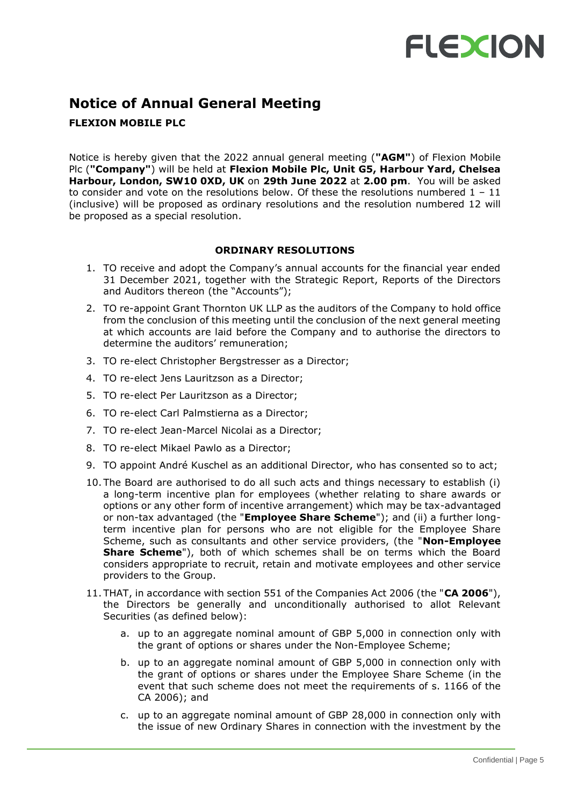## **Notice of Annual General Meeting**

## **FLEXION MOBILE PLC**

Notice is hereby given that the 2022 annual general meeting (**"AGM"**) of Flexion Mobile Plc (**"Company"**) will be held at **Flexion Mobile Plc, Unit G5, Harbour Yard, Chelsea Harbour, London, SW10 0XD, UK** on **29th June 2022** at **2.00 pm**. You will be asked to consider and vote on the resolutions below. Of these the resolutions numbered  $1 - 11$ (inclusive) will be proposed as ordinary resolutions and the resolution numbered 12 will be proposed as a special resolution.

## **ORDINARY RESOLUTIONS**

- 1. TO receive and adopt the Company's annual accounts for the financial year ended 31 December 2021, together with the Strategic Report, Reports of the Directors and Auditors thereon (the "Accounts");
- 2. TO re-appoint Grant Thornton UK LLP as the auditors of the Company to hold office from the conclusion of this meeting until the conclusion of the next general meeting at which accounts are laid before the Company and to authorise the directors to determine the auditors' remuneration;
- 3. TO re-elect Christopher Bergstresser as a Director;
- 4. TO re-elect Jens Lauritzson as a Director;
- 5. TO re-elect Per Lauritzson as a Director;
- 6. TO re-elect Carl Palmstierna as a Director;
- 7. TO re-elect Jean-Marcel Nicolai as a Director;
- 8. TO re-elect Mikael Pawlo as a Director;
- 9. TO appoint André Kuschel as an additional Director, who has consented so to act;
- 10. The Board are authorised to do all such acts and things necessary to establish (i) a long-term incentive plan for employees (whether relating to share awards or options or any other form of incentive arrangement) which may be tax-advantaged or non-tax advantaged (the "**Employee Share Scheme**"); and (ii) a further longterm incentive plan for persons who are not eligible for the Employee Share Scheme, such as consultants and other service providers, (the "**Non-Employee Share Scheme**"), both of which schemes shall be on terms which the Board considers appropriate to recruit, retain and motivate employees and other service providers to the Group.
- 11. THAT, in accordance with section 551 of the Companies Act 2006 (the "**CA 2006**"), the Directors be generally and unconditionally authorised to allot Relevant Securities (as defined below):
	- a. up to an aggregate nominal amount of GBP 5,000 in connection only with the grant of options or shares under the Non-Employee Scheme;
	- b. up to an aggregate nominal amount of GBP 5,000 in connection only with the grant of options or shares under the Employee Share Scheme (in the event that such scheme does not meet the requirements of s. 1166 of the CA 2006); and
	- c. up to an aggregate nominal amount of GBP 28,000 in connection only with the issue of new Ordinary Shares in connection with the investment by the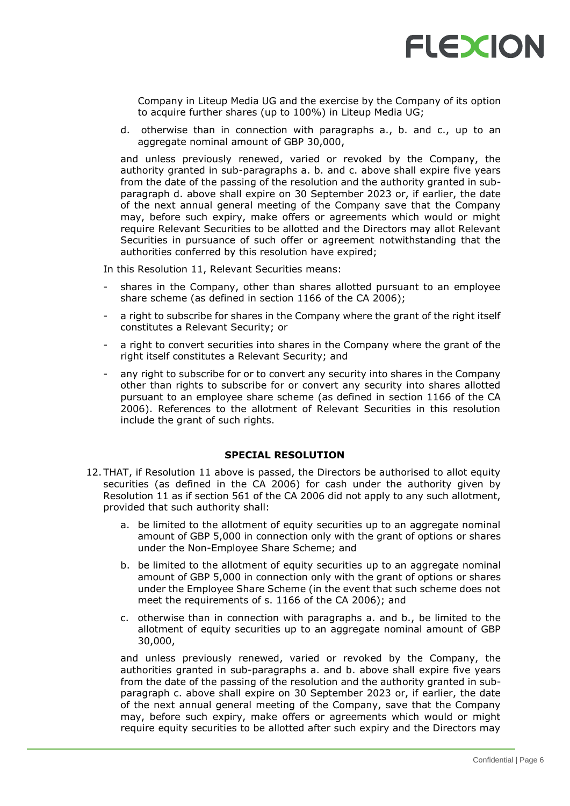

Company in Liteup Media UG and the exercise by the Company of its option to acquire further shares (up to 100%) in Liteup Media UG;

d. otherwise than in connection with paragraphs a., b. and c., up to an aggregate nominal amount of GBP 30,000,

and unless previously renewed, varied or revoked by the Company, the authority granted in sub-paragraphs a. b. and c. above shall expire five years from the date of the passing of the resolution and the authority granted in subparagraph d. above shall expire on 30 September 2023 or, if earlier, the date of the next annual general meeting of the Company save that the Company may, before such expiry, make offers or agreements which would or might require Relevant Securities to be allotted and the Directors may allot Relevant Securities in pursuance of such offer or agreement notwithstanding that the authorities conferred by this resolution have expired;

In this Resolution 11, Relevant Securities means:

- shares in the Company, other than shares allotted pursuant to an employee share scheme (as defined in section 1166 of the CA 2006);
- a right to subscribe for shares in the Company where the grant of the right itself constitutes a Relevant Security; or
- a right to convert securities into shares in the Company where the grant of the right itself constitutes a Relevant Security; and
- any right to subscribe for or to convert any security into shares in the Company other than rights to subscribe for or convert any security into shares allotted pursuant to an employee share scheme (as defined in section 1166 of the CA 2006). References to the allotment of Relevant Securities in this resolution include the grant of such rights.

## **SPECIAL RESOLUTION**

- 12. THAT, if Resolution 11 above is passed, the Directors be authorised to allot equity securities (as defined in the CA 2006) for cash under the authority given by Resolution 11 as if section 561 of the CA 2006 did not apply to any such allotment, provided that such authority shall:
	- a. be limited to the allotment of equity securities up to an aggregate nominal amount of GBP 5,000 in connection only with the grant of options or shares under the Non-Employee Share Scheme; and
	- b. be limited to the allotment of equity securities up to an aggregate nominal amount of GBP 5,000 in connection only with the grant of options or shares under the Employee Share Scheme (in the event that such scheme does not meet the requirements of s. 1166 of the CA 2006); and
	- c. otherwise than in connection with paragraphs a. and b., be limited to the allotment of equity securities up to an aggregate nominal amount of GBP 30,000,

and unless previously renewed, varied or revoked by the Company, the authorities granted in sub-paragraphs a. and b. above shall expire five years from the date of the passing of the resolution and the authority granted in subparagraph c. above shall expire on 30 September 2023 or, if earlier, the date of the next annual general meeting of the Company, save that the Company may, before such expiry, make offers or agreements which would or might require equity securities to be allotted after such expiry and the Directors may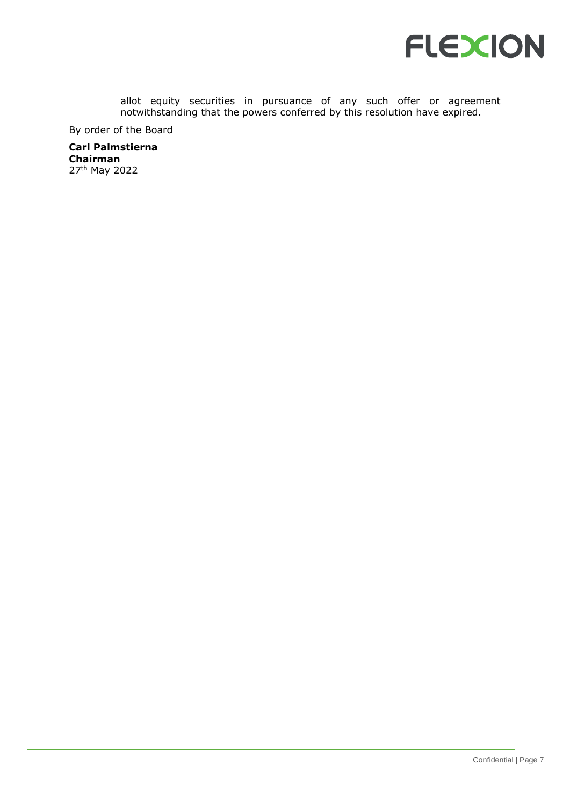

allot equity securities in pursuance of any such offer or agreement notwithstanding that the powers conferred by this resolution have expired.

By order of the Board

**Carl Palmstierna Chairman** 27th May 2022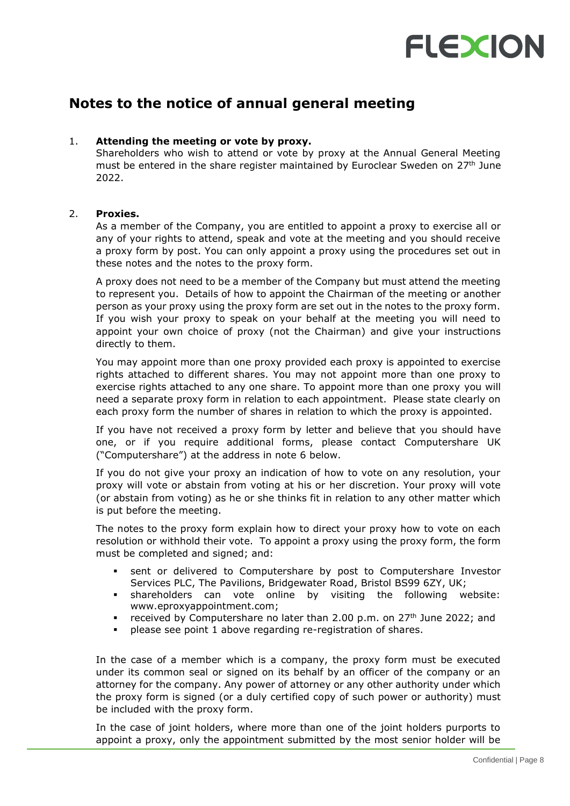## **Notes to the notice of annual general meeting**

## 1. **Attending the meeting or vote by proxy.**

Shareholders who wish to attend or vote by proxy at the Annual General Meeting must be entered in the share register maintained by Euroclear Sweden on 27<sup>th</sup> June 2022.

## 2. **Proxies.**

As a member of the Company, you are entitled to appoint a proxy to exercise all or any of your rights to attend, speak and vote at the meeting and you should receive a proxy form by post. You can only appoint a proxy using the procedures set out in these notes and the notes to the proxy form.

A proxy does not need to be a member of the Company but must attend the meeting to represent you. Details of how to appoint the Chairman of the meeting or another person as your proxy using the proxy form are set out in the notes to the proxy form. If you wish your proxy to speak on your behalf at the meeting you will need to appoint your own choice of proxy (not the Chairman) and give your instructions directly to them.

You may appoint more than one proxy provided each proxy is appointed to exercise rights attached to different shares. You may not appoint more than one proxy to exercise rights attached to any one share. To appoint more than one proxy you will need a separate proxy form in relation to each appointment. Please state clearly on each proxy form the number of shares in relation to which the proxy is appointed.

If you have not received a proxy form by letter and believe that you should have one, or if you require additional forms, please contact Computershare UK ("Computershare") at the address in note 6 below.

If you do not give your proxy an indication of how to vote on any resolution, your proxy will vote or abstain from voting at his or her discretion. Your proxy will vote (or abstain from voting) as he or she thinks fit in relation to any other matter which is put before the meeting.

The notes to the proxy form explain how to direct your proxy how to vote on each resolution or withhold their vote. To appoint a proxy using the proxy form, the form must be completed and signed; and:

- sent or delivered to Computershare by post to Computershare Investor Services PLC, The Pavilions, Bridgewater Road, Bristol BS99 6ZY, UK;
- shareholders can vote online by visiting the following website: www.eproxyappointment.com;
- received by Computershare no later than 2.00 p.m. on 27<sup>th</sup> June 2022; and
- please see point 1 above regarding re-registration of shares.

In the case of a member which is a company, the proxy form must be executed under its common seal or signed on its behalf by an officer of the company or an attorney for the company. Any power of attorney or any other authority under which the proxy form is signed (or a duly certified copy of such power or authority) must be included with the proxy form.

In the case of joint holders, where more than one of the joint holders purports to appoint a proxy, only the appointment submitted by the most senior holder will be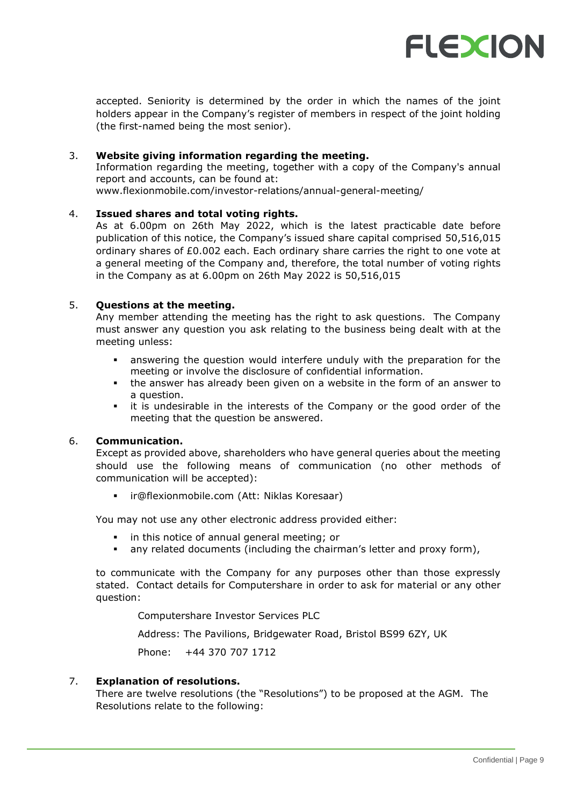

accepted. Seniority is determined by the order in which the names of the joint holders appear in the Company's register of members in respect of the joint holding (the first-named being the most senior).

## 3. **Website giving information regarding the meeting.**

Information regarding the meeting, together with a copy of the Company's annual report and accounts, can be found at: www.flexionmobile.com/investor-relations/annual-general-meeting/

## 4. **Issued shares and total voting rights.**

As at 6.00pm on 26th May 2022, which is the latest practicable date before publication of this notice, the Company's issued share capital comprised 50,516,015 ordinary shares of £0.002 each. Each ordinary share carries the right to one vote at a general meeting of the Company and, therefore, the total number of voting rights in the Company as at 6.00pm on 26th May 2022 is 50,516,015

## 5. **Questions at the meeting.**

Any member attending the meeting has the right to ask questions. The Company must answer any question you ask relating to the business being dealt with at the meeting unless:

- answering the question would interfere unduly with the preparation for the meeting or involve the disclosure of confidential information.
- **•** the answer has already been given on a website in the form of an answer to a question.
- it is undesirable in the interests of the Company or the good order of the meeting that the question be answered.

## 6. **Communication.**

Except as provided above, shareholders who have general queries about the meeting should use the following means of communication (no other methods of communication will be accepted):

[ir@flexionmobile.com](mailto:niklas.koresaar@flexionmobile.com) (Att: Niklas Koresaar)

You may not use any other electronic address provided either:

- in this notice of annual general meeting; or
- any related documents (including the chairman's letter and proxy form),

to communicate with the Company for any purposes other than those expressly stated. Contact details for Computershare in order to ask for material or any other question:

Computershare Investor Services PLC

Address: The Pavilions, Bridgewater Road, Bristol BS99 6ZY, UK

Phone: +44 370 707 1712

## 7. **Explanation of resolutions.**

There are twelve resolutions (the "Resolutions") to be proposed at the AGM. The Resolutions relate to the following: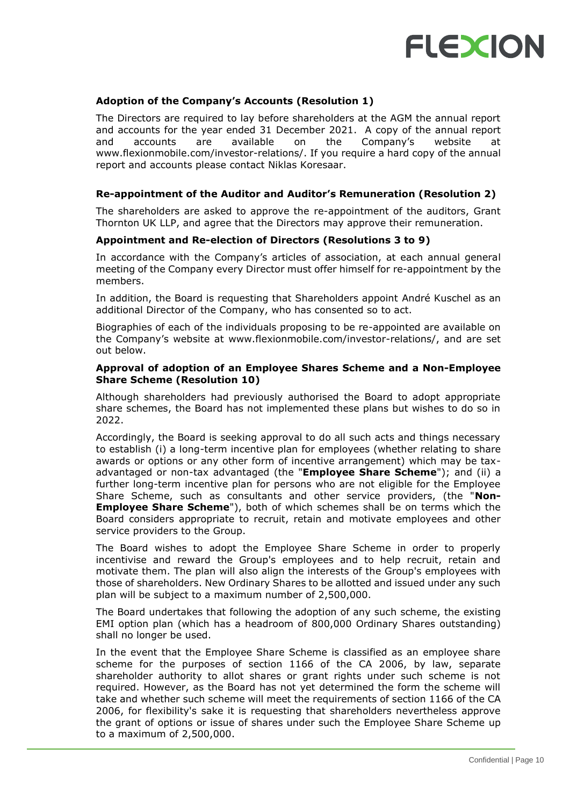

## **Adoption of the Company's Accounts (Resolution 1)**

The Directors are required to lay before shareholders at the AGM the annual report and accounts for the year ended 31 December 2021. A copy of the annual report and accounts are available on the Company's website at www.flexionmobile.com/investor-relations/. If you require a hard copy of the annual report and accounts please contact Niklas Koresaar.

### **Re-appointment of the Auditor and Auditor's Remuneration (Resolution 2)**

The shareholders are asked to approve the re-appointment of the auditors, Grant Thornton UK LLP, and agree that the Directors may approve their remuneration.

### **Appointment and Re-election of Directors (Resolutions 3 to 9)**

In accordance with the Company's articles of association, at each annual general meeting of the Company every Director must offer himself for re-appointment by the members.

In addition, the Board is requesting that Shareholders appoint André Kuschel as an additional Director of the Company, who has consented so to act.

Biographies of each of the individuals proposing to be re-appointed are available on the Company's website at www.flexionmobile.com/investor-relations/, and are set out below.

### **Approval of adoption of an Employee Shares Scheme and a Non-Employee Share Scheme (Resolution 10)**

Although shareholders had previously authorised the Board to adopt appropriate share schemes, the Board has not implemented these plans but wishes to do so in 2022.

Accordingly, the Board is seeking approval to do all such acts and things necessary to establish (i) a long-term incentive plan for employees (whether relating to share awards or options or any other form of incentive arrangement) which may be taxadvantaged or non-tax advantaged (the "**Employee Share Scheme**"); and (ii) a further long-term incentive plan for persons who are not eligible for the Employee Share Scheme, such as consultants and other service providers, (the "**Non-Employee Share Scheme**"), both of which schemes shall be on terms which the Board considers appropriate to recruit, retain and motivate employees and other service providers to the Group.

The Board wishes to adopt the Employee Share Scheme in order to properly incentivise and reward the Group's employees and to help recruit, retain and motivate them. The plan will also align the interests of the Group's employees with those of shareholders. New Ordinary Shares to be allotted and issued under any such plan will be subject to a maximum number of 2,500,000.

The Board undertakes that following the adoption of any such scheme, the existing EMI option plan (which has a headroom of 800,000 Ordinary Shares outstanding) shall no longer be used.

In the event that the Employee Share Scheme is classified as an employee share scheme for the purposes of section 1166 of the CA 2006, by law, separate shareholder authority to allot shares or grant rights under such scheme is not required. However, as the Board has not yet determined the form the scheme will take and whether such scheme will meet the requirements of section 1166 of the CA 2006, for flexibility's sake it is requesting that shareholders nevertheless approve the grant of options or issue of shares under such the Employee Share Scheme up to a maximum of 2,500,000.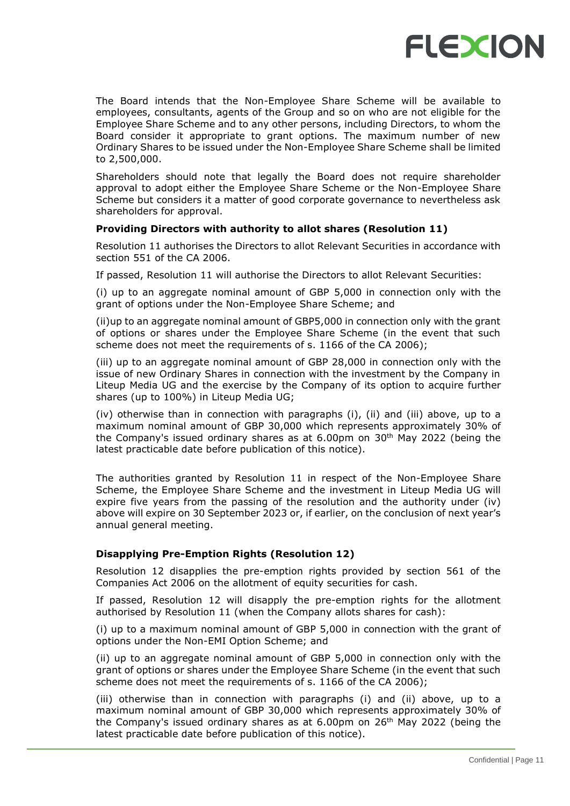

The Board intends that the Non-Employee Share Scheme will be available to employees, consultants, agents of the Group and so on who are not eligible for the Employee Share Scheme and to any other persons, including Directors, to whom the Board consider it appropriate to grant options. The maximum number of new Ordinary Shares to be issued under the Non-Employee Share Scheme shall be limited to 2,500,000.

Shareholders should note that legally the Board does not require shareholder approval to adopt either the Employee Share Scheme or the Non-Employee Share Scheme but considers it a matter of good corporate governance to nevertheless ask shareholders for approval.

## **Providing Directors with authority to allot shares (Resolution 11)**

Resolution 11 authorises the Directors to allot Relevant Securities in accordance with section 551 of the CA 2006.

If passed, Resolution 11 will authorise the Directors to allot Relevant Securities:

(i) up to an aggregate nominal amount of GBP 5,000 in connection only with the grant of options under the Non-Employee Share Scheme; and

(ii)up to an aggregate nominal amount of GBP5,000 in connection only with the grant of options or shares under the Employee Share Scheme (in the event that such scheme does not meet the requirements of s. 1166 of the CA 2006);

(iii) up to an aggregate nominal amount of GBP 28,000 in connection only with the issue of new Ordinary Shares in connection with the investment by the Company in Liteup Media UG and the exercise by the Company of its option to acquire further shares (up to 100%) in Liteup Media UG;

(iv) otherwise than in connection with paragraphs (i), (ii) and (iii) above, up to a maximum nominal amount of GBP 30,000 which represents approximately 30% of the Company's issued ordinary shares as at  $6.00 \text{pm}$  on  $30\text{th}$  May 2022 (being the latest practicable date before publication of this notice).

The authorities granted by Resolution 11 in respect of the Non-Employee Share Scheme, the Employee Share Scheme and the investment in Liteup Media UG will expire five years from the passing of the resolution and the authority under (iv) above will expire on 30 September 2023 or, if earlier, on the conclusion of next year's annual general meeting.

## **Disapplying Pre-Emption Rights (Resolution 12)**

Resolution 12 disapplies the pre-emption rights provided by section 561 of the Companies Act 2006 on the allotment of equity securities for cash.

If passed, Resolution 12 will disapply the pre-emption rights for the allotment authorised by Resolution 11 (when the Company allots shares for cash):

(i) up to a maximum nominal amount of GBP 5,000 in connection with the grant of options under the Non-EMI Option Scheme; and

(ii) up to an aggregate nominal amount of GBP 5,000 in connection only with the grant of options or shares under the Employee Share Scheme (in the event that such scheme does not meet the requirements of s. 1166 of the CA 2006);

(iii) otherwise than in connection with paragraphs (i) and (ii) above, up to a maximum nominal amount of GBP 30,000 which represents approximately 30% of the Company's issued ordinary shares as at  $6.00$ pm on  $26<sup>th</sup>$  May 2022 (being the latest practicable date before publication of this notice).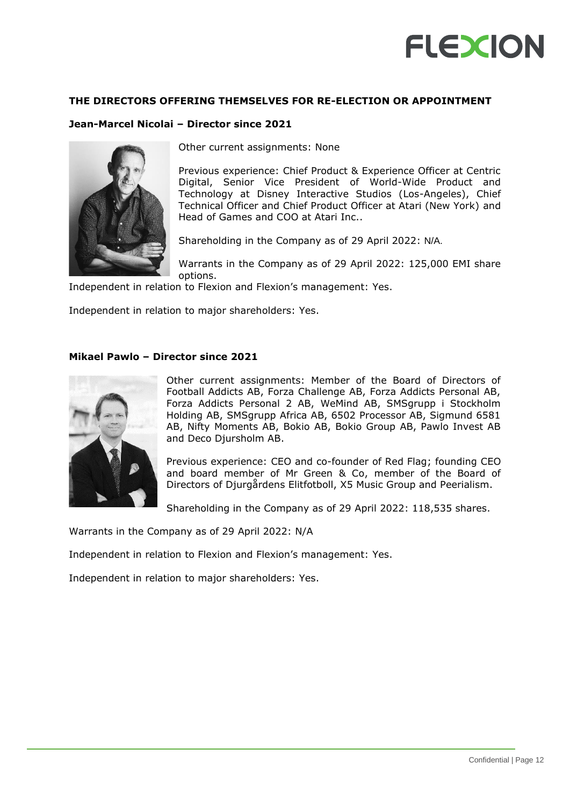## **THE DIRECTORS OFFERING THEMSELVES FOR RE-ELECTION OR APPOINTMENT**

## **Jean-Marcel Nicolai – Director since 2021**



Other current assignments: None

Previous experience: Chief Product & Experience Officer at Centric Digital, Senior Vice President of World-Wide Product and Technology at Disney Interactive Studios (Los-Angeles), Chief Technical Officer and Chief Product Officer at Atari (New York) and Head of Games and COO at Atari Inc..

Shareholding in the Company as of 29 April 2022: N/A.

Warrants in the Company as of 29 April 2022: 125,000 EMI share options.

Independent in relation to Flexion and Flexion's management: Yes.

Independent in relation to major shareholders: Yes.

## **Mikael Pawlo – Director since 2021**



Other current assignments: Member of the Board of Directors of Football Addicts AB, Forza Challenge AB, Forza Addicts Personal AB, Forza Addicts Personal 2 AB, WeMind AB, SMSgrupp i Stockholm Holding AB, SMSgrupp Africa AB, 6502 Processor AB, Sigmund 6581 AB, Nifty Moments AB, Bokio AB, Bokio Group AB, Pawlo Invest AB and Deco Djursholm AB.

Previous experience: CEO and co-founder of Red Flag; founding CEO and board member of Mr Green & Co, member of the Board of Directors of Djurgårdens Elitfotboll, X5 Music Group and Peerialism.

Shareholding in the Company as of 29 April 2022: 118,535 shares.

Warrants in the Company as of 29 April 2022: N/A

Independent in relation to Flexion and Flexion's management: Yes.

Independent in relation to major shareholders: Yes.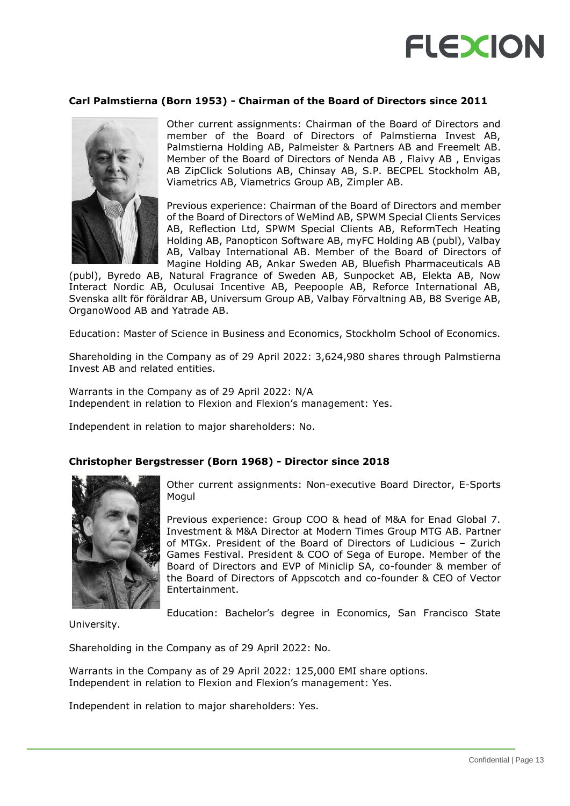

#### **Carl Palmstierna (Born 1953) - Chairman of the Board of Directors since 2011**



Other current assignments: Chairman of the Board of Directors and member of the Board of Directors of Palmstierna Invest AB, Palmstierna Holding AB, Palmeister & Partners AB and Freemelt AB. Member of the Board of Directors of Nenda AB , Flaivy AB , Envigas AB ZipClick Solutions AB, Chinsay AB, S.P. BECPEL Stockholm AB, Viametrics AB, Viametrics Group AB, Zimpler AB.

Previous experience: Chairman of the Board of Directors and member of the Board of Directors of WeMind AB, SPWM Special Clients Services AB, Reflection Ltd, SPWM Special Clients AB, ReformTech Heating Holding AB, Panopticon Software AB, myFC Holding AB (publ), Valbay AB, Valbay International AB. Member of the Board of Directors of Magine Holding AB, Ankar Sweden AB, Bluefish Pharmaceuticals AB

(publ), Byredo AB, Natural Fragrance of Sweden AB, Sunpocket AB, Elekta AB, Now Interact Nordic AB, Oculusai Incentive AB, Peepoople AB, Reforce International AB, Svenska allt för föräldrar AB, Universum Group AB, Valbay Förvaltning AB, B8 Sverige AB, OrganoWood AB and Yatrade AB.

Education: Master of Science in Business and Economics, Stockholm School of Economics.

Shareholding in the Company as of 29 April 2022: 3,624,980 shares through Palmstierna Invest AB and related entities.

Warrants in the Company as of 29 April 2022: N/A Independent in relation to Flexion and Flexion's management: Yes.

Independent in relation to major shareholders: No.

#### **Christopher Bergstresser (Born 1968) - Director since 2018**



Other current assignments: Non-executive Board Director, E-Sports Mogul

Previous experience: Group COO & head of M&A for Enad Global 7. Investment & M&A Director at Modern Times Group MTG AB. Partner of MTGx. President of the Board of Directors of Ludicious – Zurich Games Festival. President & COO of Sega of Europe. Member of the Board of Directors and EVP of Miniclip SA, co-founder & member of the Board of Directors of Appscotch and co-founder & CEO of Vector Entertainment.

Education: Bachelor's degree in Economics, San Francisco State

University.

Shareholding in the Company as of 29 April 2022: No.

Warrants in the Company as of 29 April 2022: 125,000 EMI share options. Independent in relation to Flexion and Flexion's management: Yes.

Independent in relation to major shareholders: Yes.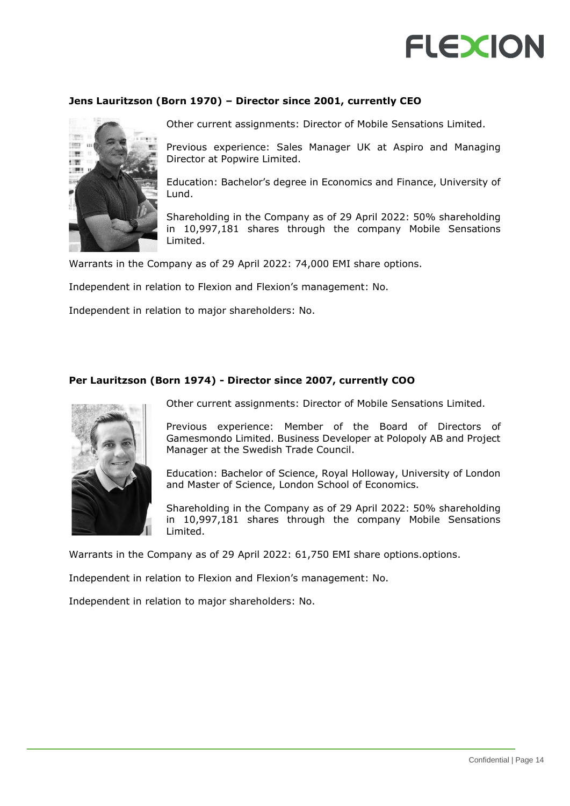## **Jens Lauritzson (Born 1970) – Director since 2001, currently CEO**



Other current assignments: Director of Mobile Sensations Limited.

Previous experience: Sales Manager UK at Aspiro and Managing Director at Popwire Limited.

Education: Bachelor's degree in Economics and Finance, University of Lund.

Shareholding in the Company as of 29 April 2022: 50% shareholding in 10,997,181 shares through the company Mobile Sensations Limited.

Warrants in the Company as of 29 April 2022: 74,000 EMI share options.

Independent in relation to Flexion and Flexion's management: No.

Independent in relation to major shareholders: No.

## **Per Lauritzson (Born 1974) - Director since 2007, currently COO**



Other current assignments: Director of Mobile Sensations Limited.

Previous experience: Member of the Board of Directors of Gamesmondo Limited. Business Developer at Polopoly AB and Project Manager at the Swedish Trade Council.

Education: Bachelor of Science, Royal Holloway, University of London and Master of Science, London School of Economics.

Shareholding in the Company as of 29 April 2022: 50% shareholding in 10,997,181 shares through the company Mobile Sensations Limited.

Warrants in the Company as of 29 April 2022: 61,750 EMI share options.options.

Independent in relation to Flexion and Flexion's management: No.

Independent in relation to major shareholders: No.